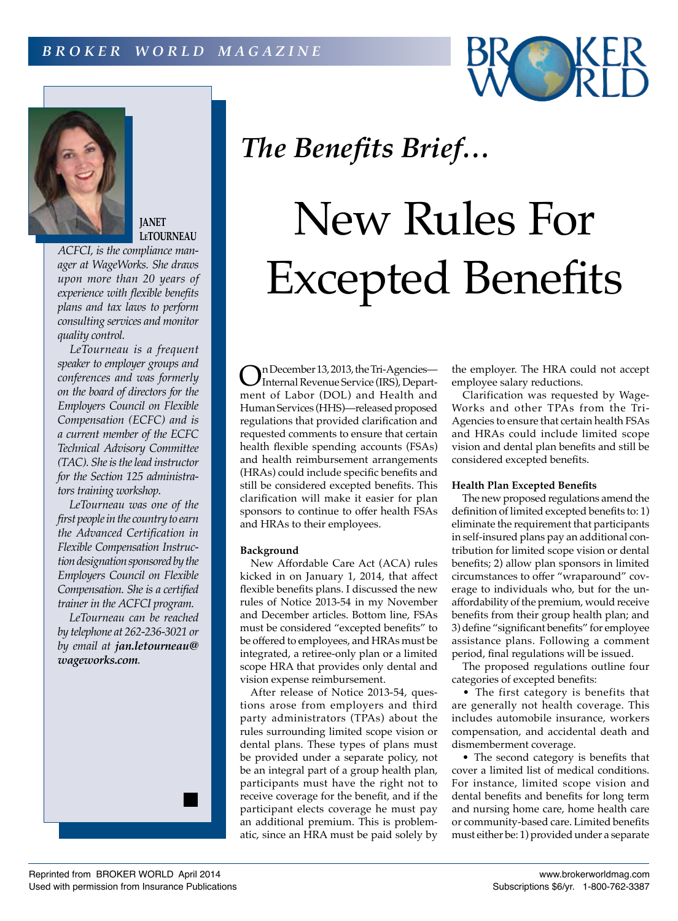



**JANET LeTOURNEAU**

*ACFCI, is the compliance manager at WageWorks. She draws upon more than 20 years of experience with flexible benefits plans and tax laws to perform consulting services and monitor quality control.*

*LeTourneau is a frequent speaker to employer groups and conferences and was formerly on the board of directors for the Employers Council on Flexible Compensation (ECFC) and is a current member of the ECFC Technical Advisory Committee (TAC). She is the lead instructor for the Section 125 administrators training workshop.*

*LeTourneau was one of the first people in the country to earn the Advanced Certification in Flexible Compensation Instruction designation sponsored by the Employers Council on Flexible Compensation. She is a certified trainer in the ACFCI program.*

*LeTourneau can be reached by telephone at 262-236-3021 or by email at jan.letourneau@ wageworks.com.*

# *The Benefits Brief…*

# New Rules For Excepted Benefits

On December 13, 2013, the Tri-Agencies— Internal Revenue Service (IRS), Department of Labor (DOL) and Health and Human Services (HHS)—released proposed regulations that provided clarification and requested comments to ensure that certain health flexible spending accounts (FSAs) and health reimbursement arrangements (HRAs) could include specific benefits and still be considered excepted benefits. This clarification will make it easier for plan sponsors to continue to offer health FSAs and HRAs to their employees.

## **Background**

New Affordable Care Act (ACA) rules kicked in on January 1, 2014, that affect flexible benefits plans. I discussed the new rules of Notice 2013-54 in my November and December articles. Bottom line, FSAs must be considered "excepted benefits" to be offered to employees, and HRAs must be integrated, a retiree-only plan or a limited scope HRA that provides only dental and vision expense reimbursement.

After release of Notice 2013-54, questions arose from employers and third party administrators (TPAs) about the rules surrounding limited scope vision or dental plans. These types of plans must be provided under a separate policy, not be an integral part of a group health plan, participants must have the right not to receive coverage for the benefit, and if the participant elects coverage he must pay an additional premium. This is problematic, since an HRA must be paid solely by

the employer. The HRA could not accept employee salary reductions.

Clarification was requested by Wage-Works and other TPAs from the Tri-Agencies to ensure that certain health FSAs and HRAs could include limited scope vision and dental plan benefits and still be considered excepted benefits.

## **Health Plan Excepted Benefits**

The new proposed regulations amend the definition of limited excepted benefits to: 1) eliminate the requirement that participants in self-insured plans pay an additional contribution for limited scope vision or dental benefits; 2) allow plan sponsors in limited circumstances to offer "wraparound" coverage to individuals who, but for the unaffordability of the premium, would receive benefits from their group health plan; and 3) define "significant benefits" for employee assistance plans. Following a comment period, final regulations will be issued.

The proposed regulations outline four categories of excepted benefits:

• The first category is benefits that are generally not health coverage. This includes automobile insurance, workers compensation, and accidental death and dismemberment coverage.

• The second category is benefits that cover a limited list of medical conditions. For instance, limited scope vision and dental benefits and benefits for long term and nursing home care, home health care or community-based care. Limited benefits must either be: 1) provided under a separate